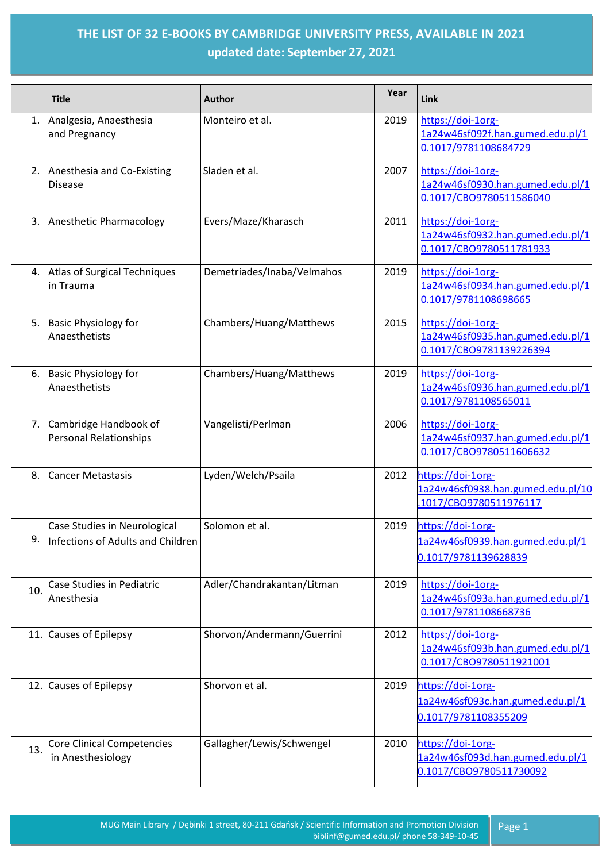## **THE LIST OF 32 E-BOOKS BY CAMBRIDGE UNIVERSITY PRESS, AVAILABLE IN 2021 updated date: September 27, 2021**

|     | <b>Title</b>                                                      | <b>Author</b>              | Year | Link                                                                             |
|-----|-------------------------------------------------------------------|----------------------------|------|----------------------------------------------------------------------------------|
| 1.  | Analgesia, Anaesthesia<br>and Pregnancy                           | Monteiro et al.            | 2019 | https://doi-1org-<br>1a24w46sf092f.han.gumed.edu.pl/1<br>0.1017/9781108684729    |
| 2.  | Anesthesia and Co-Existing<br><b>Disease</b>                      | Sladen et al.              | 2007 | https://doi-1org-<br>1a24w46sf0930.han.gumed.edu.pl/1<br>0.1017/CBO9780511586040 |
| 3.  | Anesthetic Pharmacology                                           | Evers/Maze/Kharasch        | 2011 | https://doi-1org-<br>1a24w46sf0932.han.gumed.edu.pl/1<br>0.1017/CBO9780511781933 |
|     | 4. Atlas of Surgical Techniques<br>in Trauma                      | Demetriades/Inaba/Velmahos | 2019 | https://doi-1org-<br>1a24w46sf0934.han.gumed.edu.pl/1<br>0.1017/9781108698665    |
| 5.  | <b>Basic Physiology for</b><br>Anaesthetists                      | Chambers/Huang/Matthews    | 2015 | https://doi-1org-<br>1a24w46sf0935.han.gumed.edu.pl/1<br>0.1017/CBO9781139226394 |
| 6.  | <b>Basic Physiology for</b><br>Anaesthetists                      | Chambers/Huang/Matthews    | 2019 | https://doi-1org-<br>1a24w46sf0936.han.gumed.edu.pl/1<br>0.1017/9781108565011    |
|     | 7. Cambridge Handbook of<br>Personal Relationships                | Vangelisti/Perlman         | 2006 | https://doi-1org-<br>1a24w46sf0937.han.gumed.edu.pl/1<br>0.1017/CBO9780511606632 |
| 8.  | <b>Cancer Metastasis</b>                                          | Lyden/Welch/Psaila         | 2012 | https://doi-1org-<br>1a24w46sf0938.han.gumed.edu.pl/10<br>1017/CBO9780511976117  |
| q   | Case Studies in Neurological<br>Infections of Adults and Children | Solomon et al.             | 2019 | https://doi-1org-<br>1a24w46sf0939.han.gumed.edu.pl/1<br>0.1017/9781139628839    |
| 10. | Case Studies in Pediatric<br>Anesthesia                           | Adler/Chandrakantan/Litman | 2019 | https://doi-1org-<br>1a24w46sf093a.han.gumed.edu.pl/1<br>0.1017/9781108668736    |
|     | 11. Causes of Epilepsy                                            | Shorvon/Andermann/Guerrini | 2012 | https://doi-1org-<br>1a24w46sf093b.han.gumed.edu.pl/1<br>0.1017/CBO9780511921001 |
|     | 12. Causes of Epilepsy                                            | Shorvon et al.             | 2019 | https://doi-1org-<br>1a24w46sf093c.han.gumed.edu.pl/1<br>0.1017/9781108355209    |
| 13. | <b>Core Clinical Competencies</b><br>in Anesthesiology            | Gallagher/Lewis/Schwengel  | 2010 | https://doi-1org-<br>1a24w46sf093d.han.gumed.edu.pl/1<br>0.1017/CBO9780511730092 |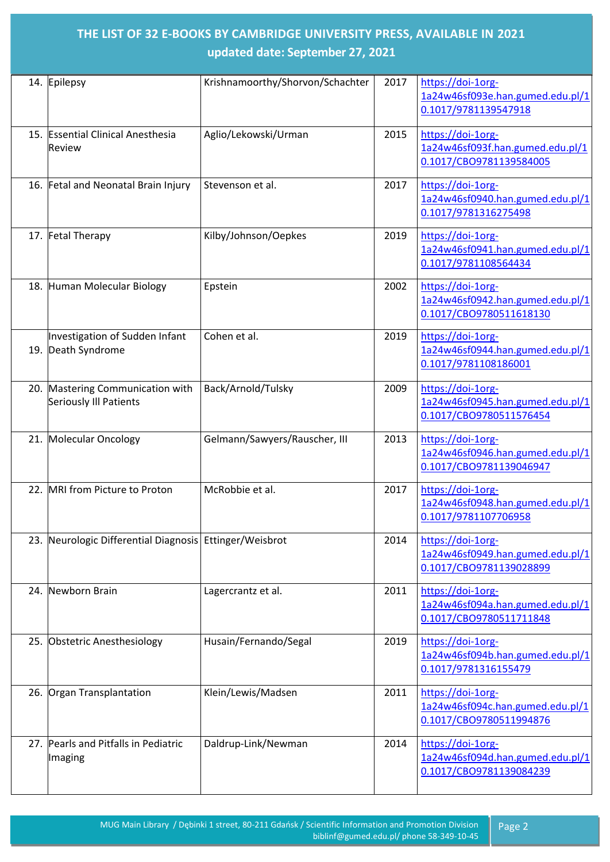## **THE LIST OF 32 E-BOOKS BY CAMBRIDGE UNIVERSITY PRESS, AVAILABLE IN 2021 updated date: September 27, 2021**

| 14. Epilepsy                                               | Krishnamoorthy/Shorvon/Schachter | 2017 | https://doi-1org-<br>1a24w46sf093e.han.gumed.edu.pl/1<br>0.1017/9781139547918    |
|------------------------------------------------------------|----------------------------------|------|----------------------------------------------------------------------------------|
| 15. Essential Clinical Anesthesia<br><b>Review</b>         | Aglio/Lekowski/Urman             | 2015 | https://doi-1org-<br>1a24w46sf093f.han.gumed.edu.pl/1<br>0.1017/CBO9781139584005 |
| 16. Fetal and Neonatal Brain Injury                        | Stevenson et al.                 | 2017 | https://doi-1org-<br>1a24w46sf0940.han.gumed.edu.pl/1<br>0.1017/9781316275498    |
| 17. Fetal Therapy                                          | Kilby/Johnson/Oepkes             | 2019 | https://doi-1org-<br>1a24w46sf0941.han.gumed.edu.pl/1<br>0.1017/9781108564434    |
| 18. Human Molecular Biology                                | Epstein                          | 2002 | https://doi-1org-<br>1a24w46sf0942.han.gumed.edu.pl/1<br>0.1017/CBO9780511618130 |
| Investigation of Sudden Infant<br>19. Death Syndrome       | Cohen et al.                     | 2019 | https://doi-1org-<br>1a24w46sf0944.han.gumed.edu.pl/1<br>0.1017/9781108186001    |
| 20. Mastering Communication with<br>Seriously Ill Patients | Back/Arnold/Tulsky               | 2009 | https://doi-1org-<br>1a24w46sf0945.han.gumed.edu.pl/1<br>0.1017/CBO9780511576454 |
| 21. Molecular Oncology                                     | Gelmann/Sawyers/Rauscher, III    | 2013 | https://doi-1org-<br>1a24w46sf0946.han.gumed.edu.pl/1<br>0.1017/CBO9781139046947 |
| 22. MRI from Picture to Proton                             | McRobbie et al.                  | 2017 | https://doi-1org-<br>1a24w46sf0948.han.gumed.edu.pl/1<br>0.1017/9781107706958    |
| 23. Neurologic Differential Diagnosis Ettinger/Weisbrot    |                                  | 2014 | https://doi-1org-<br>1a24w46sf0949.han.gumed.edu.pl/1<br>0.1017/CBO9781139028899 |
| 24. Newborn Brain                                          | Lagercrantz et al.               | 2011 | https://doi-1org-<br>1a24w46sf094a.han.gumed.edu.pl/1<br>0.1017/CBO9780511711848 |
| 25. Obstetric Anesthesiology                               | Husain/Fernando/Segal            | 2019 | https://doi-1org-<br>1a24w46sf094b.han.gumed.edu.pl/1<br>0.1017/9781316155479    |
| 26. Organ Transplantation                                  | Klein/Lewis/Madsen               | 2011 | https://doi-1org-<br>1a24w46sf094c.han.gumed.edu.pl/1<br>0.1017/CBO9780511994876 |
| 27. Pearls and Pitfalls in Pediatric<br>Imaging            | Daldrup-Link/Newman              | 2014 | https://doi-1org-<br>1a24w46sf094d.han.gumed.edu.pl/1<br>0.1017/CBO9781139084239 |